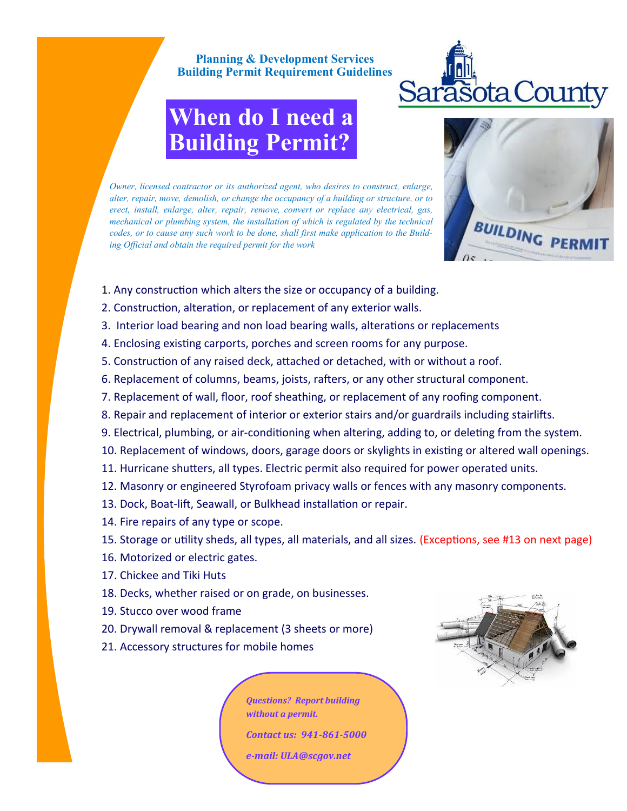## **Planning & Development Services Building Permit Requirement Guidelines**



## **When do I need a Building Permit?**



*Owner, licensed contractor or its authorized agent, who desires to construct, enlarge, alter, repair, move, demolish, or change the occupancy of a building or structure, or to erect, install, enlarge, alter, repair, remove, convert or replace any electrical, gas, mechanical or plumbing system, the installation of which is regulated by the technical codes, or to cause any such work to be done, shall first make application to the Building Official and obtain the required permit for the work*

- 1. Any construction which alters the size or occupancy of a building.
- 2. Construction, alteration, or replacement of any exterior walls.
- 3. Interior load bearing and non load bearing walls, alterations or replacements
- 4. Enclosing existing carports, porches and screen rooms for any purpose.
- 5. Construction of any raised deck, attached or detached, with or without a roof.
- 6. Replacement of columns, beams, joists, rafters, or any other structural component.
- 7. Replacement of wall, floor, roof sheathing, or replacement of any roofing component.
- 8. Repair and replacement of interior or exterior stairs and/or guardrails including stairlifts.
- 9. Electrical, plumbing, or air-conditioning when altering, adding to, or deleting from the system.
- 10. Replacement of windows, doors, garage doors or skylights in existing or altered wall openings.
- 11. Hurricane shutters, all types. Electric permit also required for power operated units.
- 12. Masonry or engineered Styrofoam privacy walls or fences with any masonry components.
- 13. Dock, Boat-lift, Seawall, or Bulkhead installation or repair.
- 14. Fire repairs of any type or scope.
- 15. Storage or utility sheds, all types, all materials, and all sizes. (Exceptions, see #13 on next page)
- 16. Motorized or electric gates.
- 17. Chickee and Tiki Huts
- 18. Decks, whether raised or on grade, on businesses.
- 19. Stucco over wood frame
- 20. Drywall removal & replacement (3 sheets or more)
- 21. Accessory structures for mobile homes

*Questions? Report building without a permit.*

*Contact us: 941-861-5000*

*e-mail: ULA@scgov.net*